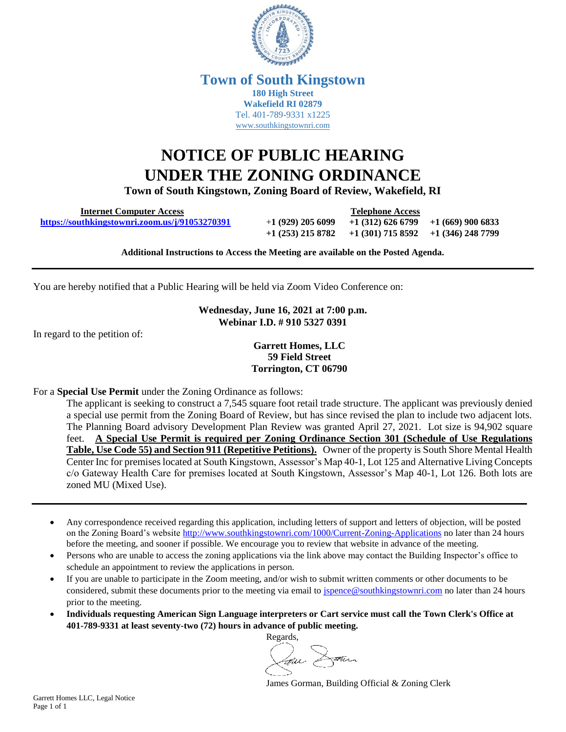

## **Town of South Kingstown 180 High Street Wakefield RI 02879** Tel. 401-789-9331 x1225 [www.southkingstownri.com](http://www.southkingstownri.com/)

## **NOTICE OF PUBLIC HEARING UNDER THE ZONING ORDINANCE**

**Town of South Kingstown, Zoning Board of Review, Wakefield, RI** 

 **Internet Computer Access Telephone Access <https://southkingstownri.zoom.us/j/91053270391>** +**1 (929) 205 6099 +1 (312) 626 6799 +1 (669) 900 6833**

**+1 (253) 215 8782 +1 (301) 715 8592 +1 (346) 248 7799** 

**Additional Instructions to Access the Meeting are available on the Posted Agenda.** 

You are hereby notified that a Public Hearing will be held via Zoom Video Conference on:

**Wednesday, June 16, 2021 at 7:00 p.m. Webinar I.D. # 910 5327 0391**

In regard to the petition of:

**Garrett Homes, LLC 59 Field Street Torrington, CT 06790**

For a **Special Use Permit** under the Zoning Ordinance as follows:

The applicant is seeking to construct a 7,545 square foot retail trade structure. The applicant was previously denied a special use permit from the Zoning Board of Review, but has since revised the plan to include two adjacent lots. The Planning Board advisory Development Plan Review was granted April 27, 2021. Lot size is 94,902 square feet. **A Special Use Permit is required per Zoning Ordinance Section 301 (Schedule of Use Regulations Table, Use Code 55) and Section 911 (Repetitive Petitions).** Owner of the property is South Shore Mental Health Center Inc for premises located at South Kingstown, Assessor's Map 40-1, Lot 125 and Alternative Living Concepts c/o Gateway Health Care for premises located at South Kingstown, Assessor's Map 40-1, Lot 126. Both lots are zoned MU (Mixed Use).

- Any correspondence received regarding this application, including letters of support and letters of objection, will be posted on the Zoning Board's website<http://www.southkingstownri.com/1000/Current-Zoning-Applications> no later than 24 hours before the meeting, and sooner if possible. We encourage you to review that website in advance of the meeting.
- Persons who are unable to access the zoning applications via the link above may contact the Building Inspector's office to schedule an appointment to review the applications in person.
- If you are unable to participate in the Zoom meeting, and/or wish to submit written comments or other documents to be considered, submit these documents prior to the meeting via email to [jspence@southkingstownri.com](mailto:jspence@southkingstownri.com) no later than 24 hours prior to the meeting.
- **Individuals requesting American Sign Language interpreters or Cart service must call the Town Clerk's Office at 401-789-9331 at least seventy-two (72) hours in advance of public meeting.**



James Gorman, Building Official & Zoning Clerk